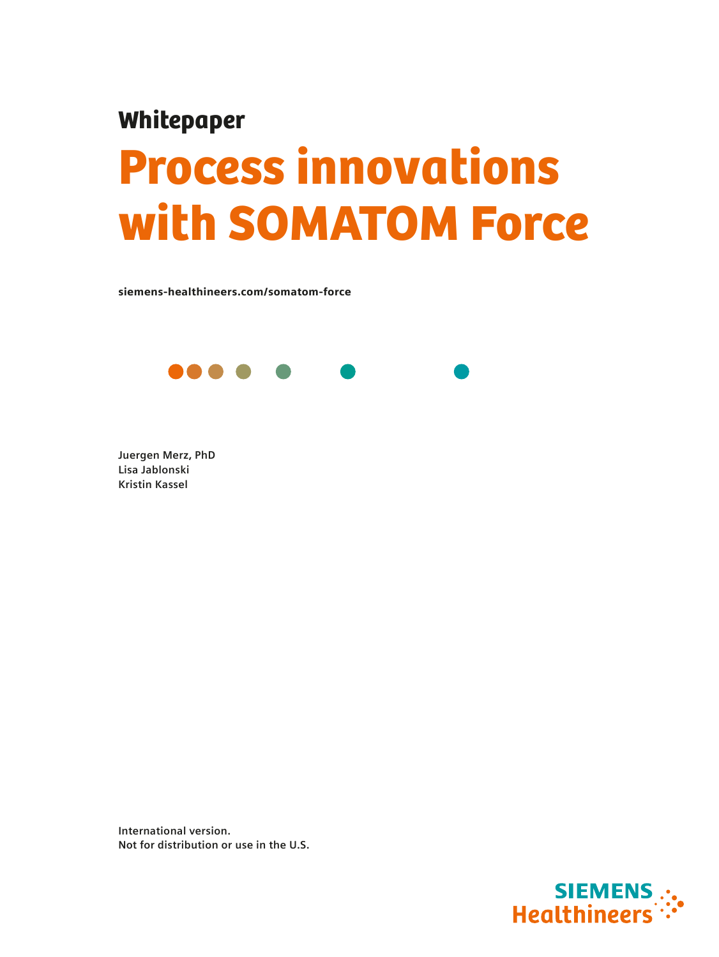## Whitepaper

# Process innovations with SOMATOM Force

siemens-healthineers.com/somatom-force



**Juergen Merz, PhD Lisa Jablonski Kristin Kassel**

**International version. Not for distribution or use in the U.S.**

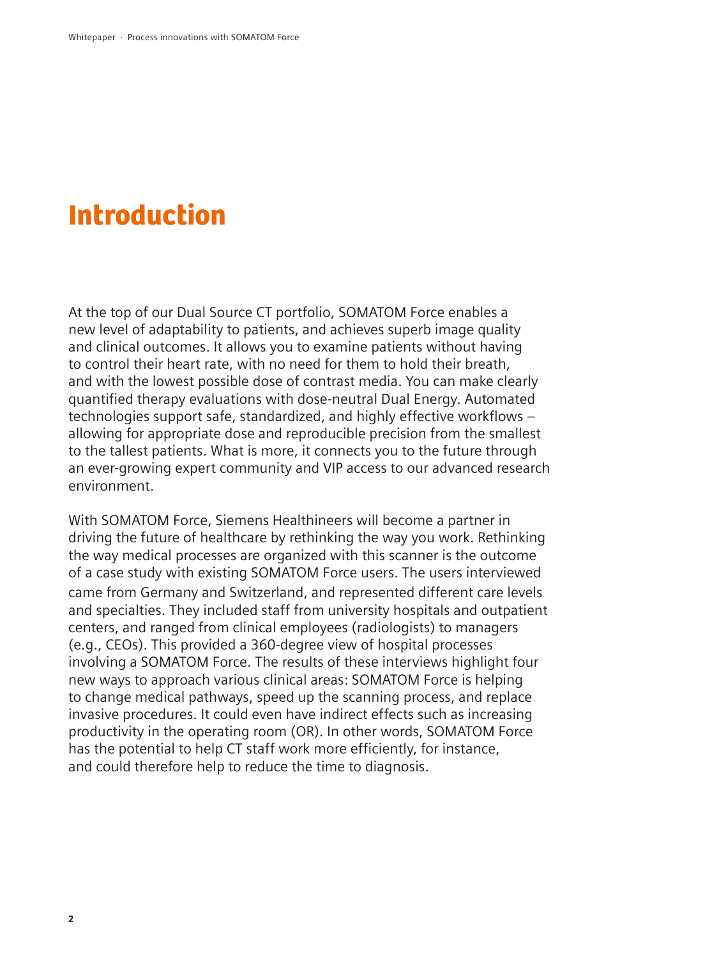## Introduction

At the top of our Dual Source CT portfolio, SOMATOM Force enables a new level of adaptability to patients, and achieves superb image quality and clinical outcomes. It allows you to examine patients without having to control their heart rate, with no need for them to hold their breath, and with the lowest possible dose of contrast media. You can make clearly quantified therapy evaluations with dose-neutral Dual Energy. Automated technologies support safe, standardized, and highly effective workflows – allowing for appropriate dose and reproducible precision from the smallest to the tallest patients. What is more, it connects you to the future through an ever-growing expert community and VIP access to our advanced research environment.

With SOMATOM Force, Siemens Healthineers will become a partner in driving the future of healthcare by rethinking the way you work. Rethinking the way medical processes are organized with this scanner is the outcome of a case study with existing SOMATOM Force users. The users interviewed came from Germany and Switzerland, and represented different care levels and specialties. They included staff from university hospitals and outpatient centers, and ranged from clinical employees (radiologists) to managers (e.g., CEOs). This provided a 360-degree view of hospital processes involving a SOMATOM Force. The results of these interviews highlight four new ways to approach various clinical areas: SOMATOM Force is helping to change medical pathways, speed up the scanning process, and replace invasive procedures. It could even have indirect effects such as increasing productivity in the operating room (OR). In other words, SOMATOM Force has the potential to help CT staff work more efficiently, for instance, and could therefore help to reduce the time to diagnosis.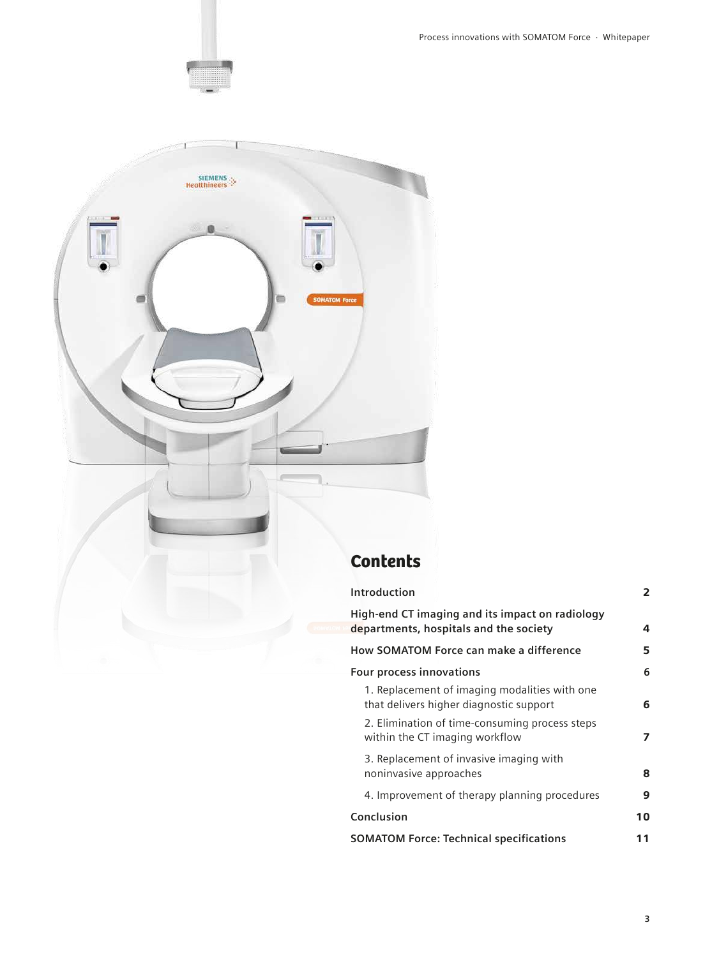Process innovations with SOMATOM Force · Whitepaper



| Introduction                                                                              | 2  |
|-------------------------------------------------------------------------------------------|----|
| High-end CT imaging and its impact on radiology<br>departments, hospitals and the society | 4  |
| <b>How SOMATOM Force can make a difference</b>                                            | 5  |
| Four process innovations                                                                  | 6  |
| 1. Replacement of imaging modalities with one<br>that delivers higher diagnostic support  | 6  |
| 2. Elimination of time-consuming process steps<br>within the CT imaging workflow          | 7  |
| 3. Replacement of invasive imaging with<br>noninvasive approaches                         | 8  |
| 4. Improvement of therapy planning procedures                                             | 9  |
| Conclusion                                                                                | 10 |
| <b>SOMATOM Force: Technical specifications</b>                                            | 11 |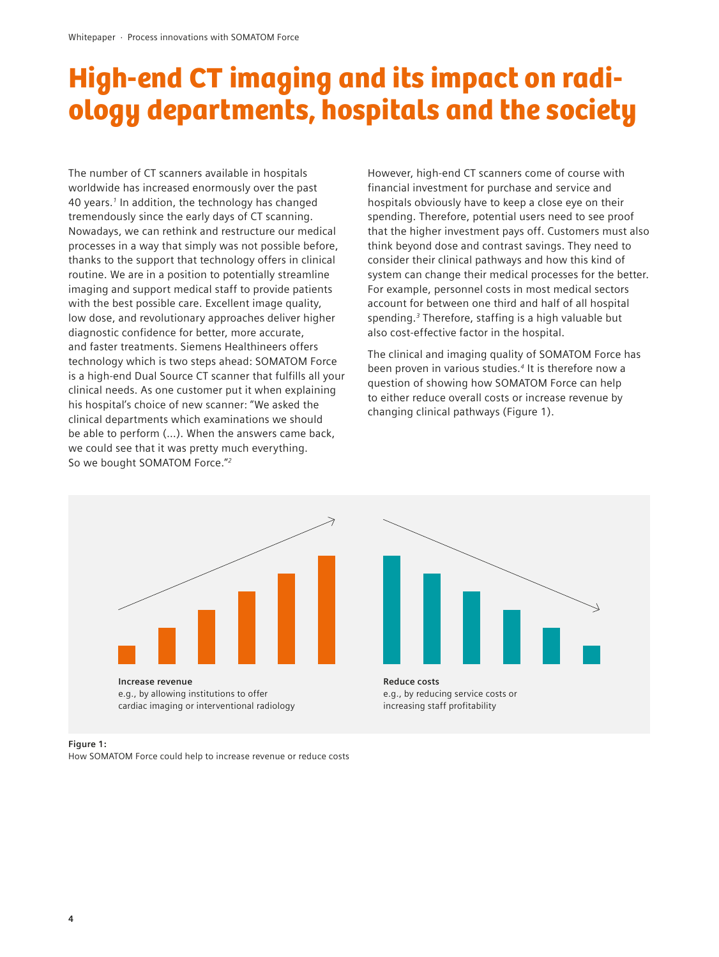## High-end CT imaging and its impact on radiology departments, hospitals and the society

The number of CT scanners available in hospitals worldwide has increased enormously over the past 40 years.*1* In addition, the technology has changed tremendously since the early days of CT scanning. Nowadays, we can rethink and restructure our medical processes in a way that simply was not possible before, thanks to the support that technology offers in clinical routine. We are in a position to potentially streamline imaging and support medical staff to provide patients with the best possible care. Excellent image quality, low dose, and revolutionary approaches deliver higher diagnostic confidence for better, more accurate, and faster treatments. Siemens Healthineers offers technology which is two steps ahead: SOMATOM Force is a high-end Dual Source CT scanner that fulfills all your clinical needs. As one customer put it when explaining his hospital's choice of new scanner: "We asked the clinical departments which examinations we should be able to perform (…). When the answers came back, we could see that it was pretty much everything. So we bought SOMATOM Force."*<sup>2</sup>*

However, high-end CT scanners come of course with financial investment for purchase and service and hospitals obviously have to keep a close eye on their spending. Therefore, potential users need to see proof that the higher investment pays off. Customers must also think beyond dose and contrast savings. They need to consider their clinical pathways and how this kind of system can change their medical processes for the better. For example, personnel costs in most medical sectors account for between one third and half of all hospital spending.*3* Therefore, staffing is a high valuable but also cost-effective factor in the hospital.

The clinical and imaging quality of SOMATOM Force has been proven in various studies.*4* It is therefore now a question of showing how SOMATOM Force can help to either reduce overall costs or increase revenue by changing clinical pathways (Figure 1).





#### **Figure 1:**

How SOMATOM Force could help to increase revenue or reduce costs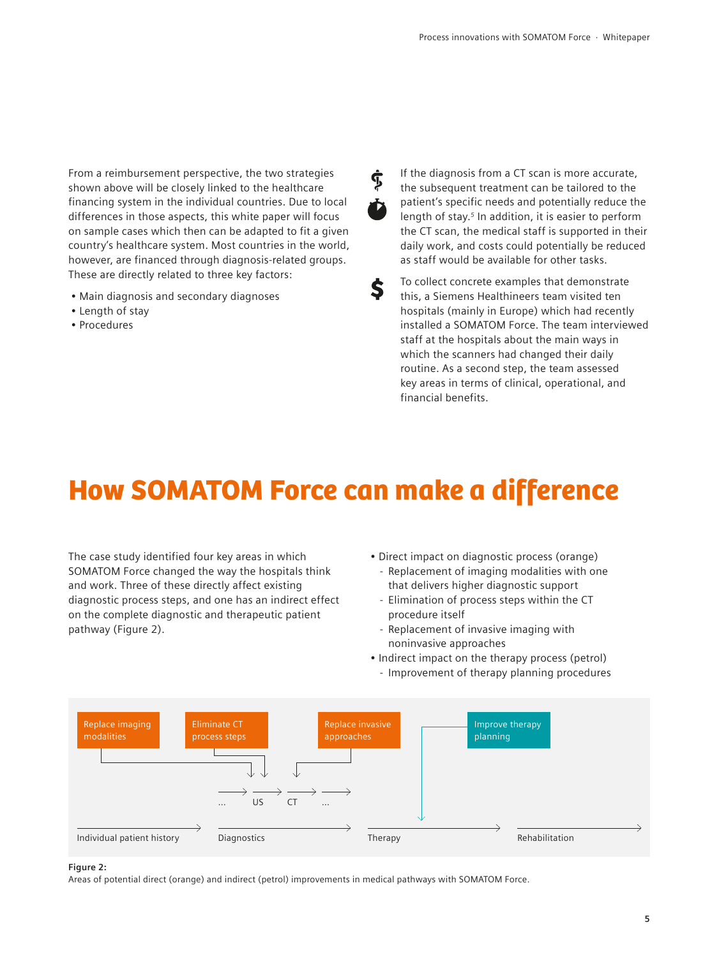From a reimbursement perspective, the two strategies shown above will be closely linked to the healthcare financing system in the individual countries. Due to local differences in those aspects, this white paper will focus on sample cases which then can be adapted to fit a given country's healthcare system. Most countries in the world, however, are financed through diagnosis-related groups. These are directly related to three key factors:

- Main diagnosis and secondary diagnoses
- Length of stay
- Procedures

Ĝ,

Š.

If the diagnosis from a CT scan is more accurate, the subsequent treatment can be tailored to the patient's specific needs and potentially reduce the length of stay.*5* In addition, it is easier to perform the CT scan, the medical staff is supported in their daily work, and costs could potentially be reduced as staff would be available for other tasks.

To collect concrete examples that demonstrate this, a Siemens Healthineers team visited ten hospitals (mainly in Europe) which had recently installed a SOMATOM Force. The team interviewed staff at the hospitals about the main ways in which the scanners had changed their daily routine. As a second step, the team assessed key areas in terms of clinical, operational, and financial benefits.

## How SOMATOM Force can make a difference

The case study identified four key areas in which SOMATOM Force changed the way the hospitals think and work. Three of these directly affect existing diagnostic process steps, and one has an indirect effect on the complete diagnostic and therapeutic patient pathway (Figure 2).

- Direct impact on diagnostic process (orange)
	- Replacement of imaging modalities with one that delivers higher diagnostic support
	- Elimination of process steps within the CT procedure itself
- Replacement of invasive imaging with noninvasive approaches
- Indirect impact on the therapy process (petrol)
	- Improvement of therapy planning procedures



### **Figure 2:**

Areas of potential direct (orange) and indirect (petrol) improvements in medical pathways with SOMATOM Force.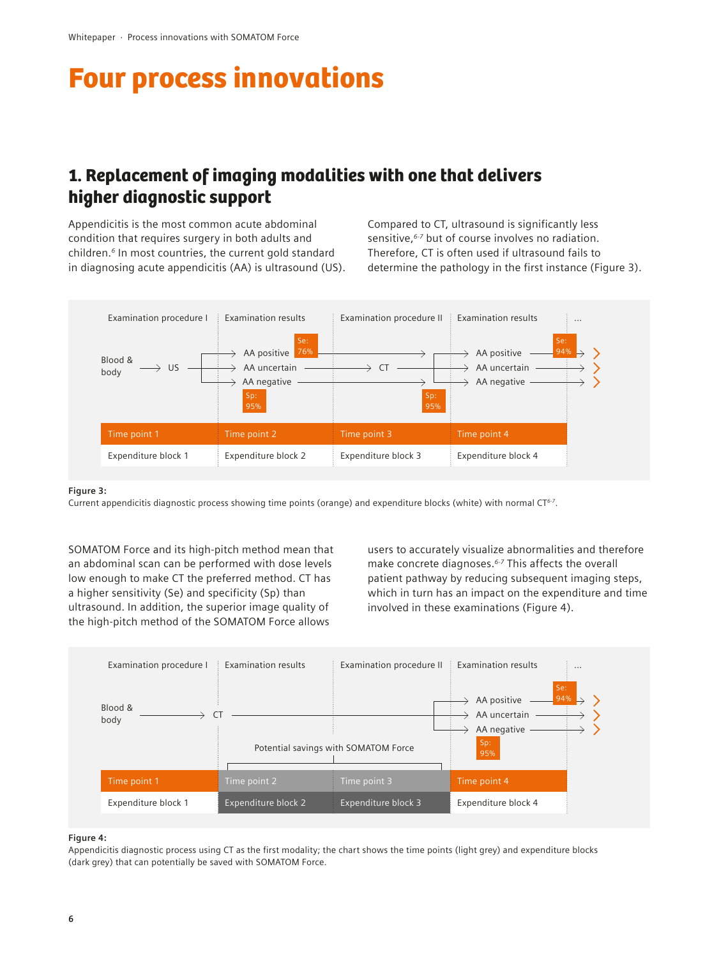## Four process innovations

### 1. Replacement of imaging modalities with one that delivers higher diagnostic support

Appendicitis is the most common acute abdominal condition that requires surgery in both adults and children.*6* In most countries, the current gold standard in diagnosing acute appendicitis (AA) is ultrasound (US). Compared to CT, ultrasound is significantly less sensitive,*6-7* but of course involves no radiation. Therefore, CT is often used if ultrasound fails to determine the pathology in the first instance (Figure 3).



#### **Figure 3:**

Current appendicitis diagnostic process showing time points (orange) and expenditure blocks (white) with normal CT*6-7*.

SOMATOM Force and its high-pitch method mean that an abdominal scan can be performed with dose levels low enough to make CT the preferred method. CT has a higher sensitivity (Se) and specificity (Sp) than ultrasound. In addition, the superior image quality of the high-pitch method of the SOMATOM Force allows

users to accurately visualize abnormalities and therefore make concrete diagnoses.*6-7* This affects the overall patient pathway by reducing subsequent imaging steps, which in turn has an impact on the expenditure and time involved in these examinations (Figure 4).



#### **Figure 4:**

Appendicitis diagnostic process using CT as the first modality; the chart shows the time points (light grey) and expenditure blocks (dark grey) that can potentially be saved with SOMATOM Force.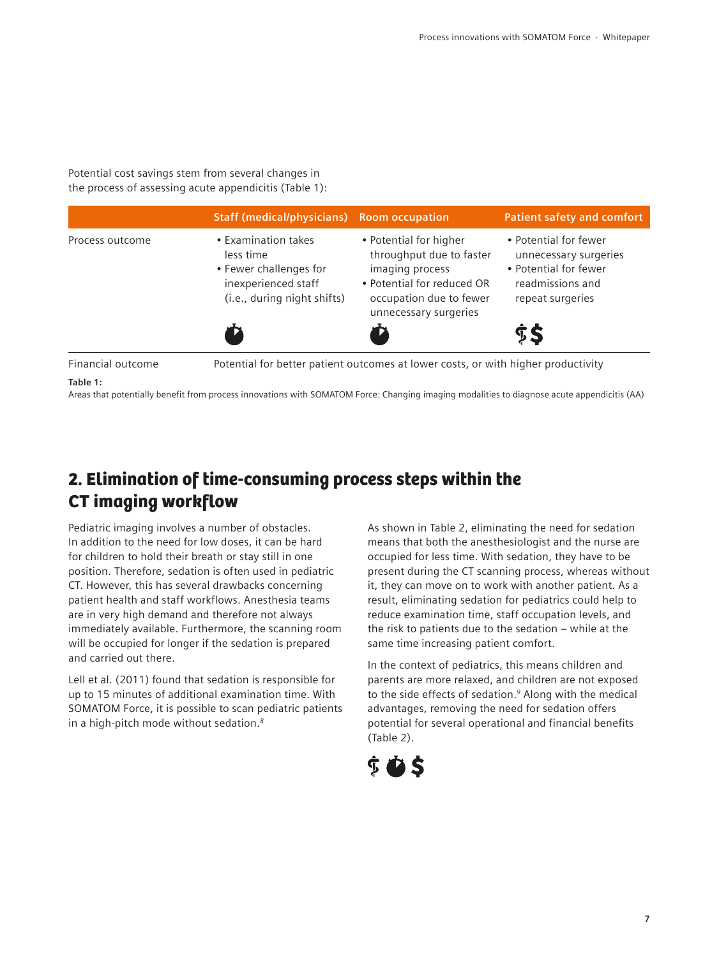Potential cost savings stem from several changes in the process of assessing acute appendicitis (Table 1):

|                   | <b>Staff (medical/physicians)</b> Room occupation                                                                |                                                                                                                                                         | <b>Patient safety and comfort</b>                                                                               |
|-------------------|------------------------------------------------------------------------------------------------------------------|---------------------------------------------------------------------------------------------------------------------------------------------------------|-----------------------------------------------------------------------------------------------------------------|
| Process outcome   | • Examination takes<br>less time<br>• Fewer challenges for<br>inexperienced staff<br>(i.e., during night shifts) | • Potential for higher<br>throughput due to faster<br>imaging process<br>• Potential for reduced OR<br>occupation due to fewer<br>unnecessary surgeries | • Potential for fewer<br>unnecessary surgeries<br>• Potential for fewer<br>readmissions and<br>repeat surgeries |
|                   |                                                                                                                  |                                                                                                                                                         | Ŝ\$                                                                                                             |
| Financial outcome |                                                                                                                  | Potential for better patient outcomes at lower costs, or with higher productivity                                                                       |                                                                                                                 |
| Table 1:          |                                                                                                                  |                                                                                                                                                         |                                                                                                                 |

Areas that potentially benefit from process innovations with SOMATOM Force: Changing imaging modalities to diagnose acute appendicitis (AA)

### 2. Elimination of time-consuming process steps within the CT imaging workflow

Pediatric imaging involves a number of obstacles. In addition to the need for low doses, it can be hard for children to hold their breath or stay still in one position. Therefore, sedation is often used in pediatric CT. However, this has several drawbacks concerning patient health and staff workflows. Anesthesia teams are in very high demand and therefore not always immediately available. Furthermore, the scanning room will be occupied for longer if the sedation is prepared and carried out there.

Lell et al. (2011) found that sedation is responsible for up to 15 minutes of additional examination time. With SOMATOM Force, it is possible to scan pediatric patients in a high-pitch mode without sedation.*<sup>8</sup>*

As shown in Table 2, eliminating the need for sedation means that both the anesthesiologist and the nurse are occupied for less time. With sedation, they have to be present during the CT scanning process, whereas without it, they can move on to work with another patient. As a result, eliminating sedation for pediatrics could help to reduce examination time, staff occupation levels, and the risk to patients due to the sedation – while at the same time increasing patient comfort.

In the context of pediatrics, this means children and parents are more relaxed, and children are not exposed to the side effects of sedation.*9* Along with the medical advantages, removing the need for sedation offers potential for several operational and financial benefits (Table 2).

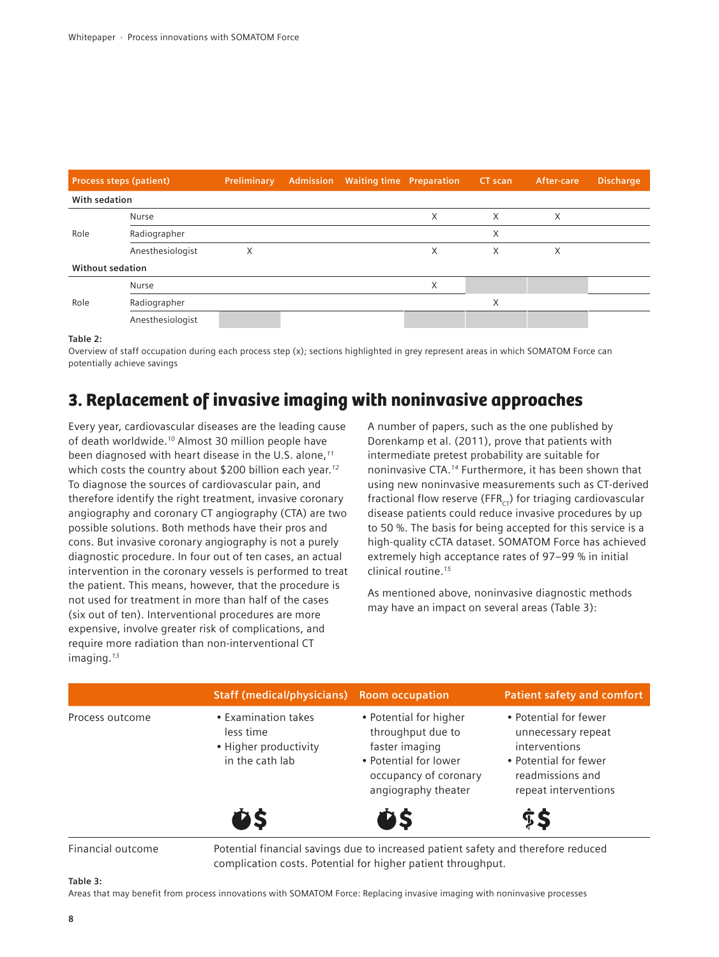|                         | <b>Process steps (patient)</b> | Preliminary | <b>Admission</b> Waiting time Preparation |   | CT scan | After-care | <b>Discharge</b> |
|-------------------------|--------------------------------|-------------|-------------------------------------------|---|---------|------------|------------------|
| With sedation           |                                |             |                                           |   |         |            |                  |
|                         | <b>Nurse</b>                   |             |                                           | X | X       | X          |                  |
| Role                    | Radiographer                   |             |                                           |   | X       |            |                  |
|                         | Anesthesiologist               | X           |                                           | X | X       | X          |                  |
| <b>Without sedation</b> |                                |             |                                           |   |         |            |                  |
|                         | Nurse                          |             |                                           | X |         |            |                  |
| Role                    | Radiographer                   |             |                                           |   | X       |            |                  |
|                         | Anesthesiologist               |             |                                           |   |         |            |                  |

**Table 2:**

Overview of staff occupation during each process step (x); sections highlighted in grey represent areas in which SOMATOM Force can potentially achieve savings

## 3. Replacement of invasive imaging with noninvasive approaches

Every year, cardiovascular diseases are the leading cause of death worldwide.*10* Almost 30 million people have been diagnosed with heart disease in the U.S. alone,*<sup>11</sup>* which costs the country about \$200 billion each year.*<sup>12</sup>* To diagnose the sources of cardiovascular pain, and therefore identify the right treatment, invasive coronary angiography and coronary CT angiography (CTA) are two possible solutions. Both methods have their pros and cons. But invasive coronary angiography is not a purely diagnostic procedure. In four out of ten cases, an actual intervention in the coronary vessels is performed to treat the patient. This means, however, that the procedure is not used for treatment in more than half of the cases (six out of ten). Interventional procedures are more expensive, involve greater risk of complications, and require more radiation than non-interventional CT imaging.*<sup>13</sup>*

A number of papers, such as the one published by Dorenkamp et al. (2011), prove that patients with intermediate pretest probability are suitable for noninvasive CTA.*14* Furthermore, it has been shown that using new noninvasive measurements such as CT-derived fractional flow reserve (FFR $_{CT}$ ) for triaging cardiovascular disease patients could reduce invasive procedures by up to 50 %. The basis for being accepted for this service is a high-quality cCTA dataset. SOMATOM Force has achieved extremely high acceptance rates of 97–99 % in initial clinical routine.*<sup>15</sup>*

As mentioned above, noninvasive diagnostic methods may have an impact on several areas (Table 3):

|                   | <b>Staff (medical/physicians)</b>                                                                                                                 | <b>Room occupation</b>                                                                                                                 | <b>Patient safety and comfort</b>                                                                                                 |
|-------------------|---------------------------------------------------------------------------------------------------------------------------------------------------|----------------------------------------------------------------------------------------------------------------------------------------|-----------------------------------------------------------------------------------------------------------------------------------|
| Process outcome   | • Examination takes<br>less time<br>• Higher productivity<br>in the cath lab                                                                      | • Potential for higher<br>throughput due to<br>faster imaging<br>• Potential for lower<br>occupancy of coronary<br>angiography theater | • Potential for fewer<br>unnecessary repeat<br>interventions<br>• Potential for fewer<br>readmissions and<br>repeat interventions |
|                   | <b>OS</b>                                                                                                                                         | ĎŠ                                                                                                                                     | <b>SS</b>                                                                                                                         |
| Financial outcome | Potential financial savings due to increased patient safety and therefore reduced<br>complication costs. Potential for higher patient throughput. |                                                                                                                                        |                                                                                                                                   |

#### **Table 3:**

Areas that may benefit from process innovations with SOMATOM Force: Replacing invasive imaging with noninvasive processes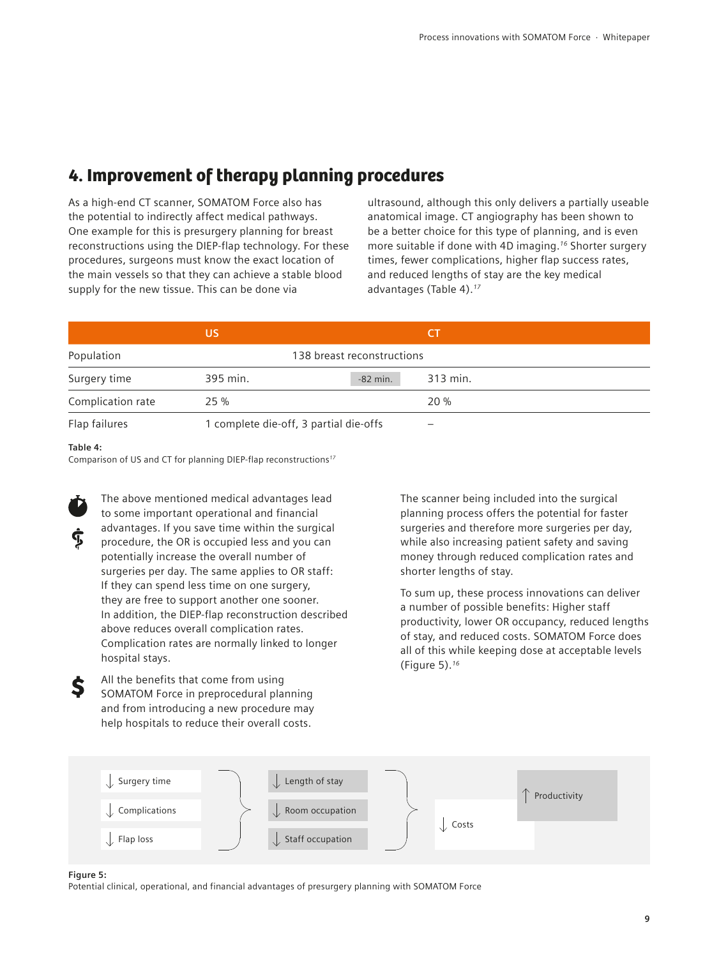### 4. Improvement of therapy planning procedures

As a high-end CT scanner, SOMATOM Force also has the potential to indirectly affect medical pathways. One example for this is presurgery planning for breast reconstructions using the DIEP-flap technology. For these procedures, surgeons must know the exact location of the main vessels so that they can achieve a stable blood supply for the new tissue. This can be done via

ultrasound, although this only delivers a partially useable anatomical image. CT angiography has been shown to be a better choice for this type of planning, and is even more suitable if done with 4D imaging.*16* Shorter surgery times, fewer complications, higher flap success rates, and reduced lengths of stay are the key medical advantages (Table 4).*<sup>17</sup>*

|                   | US       |                                        |          |  |
|-------------------|----------|----------------------------------------|----------|--|
| Population        |          | 138 breast reconstructions             |          |  |
| Surgery time      | 395 min. | $-82$ min.                             | 313 min. |  |
| Complication rate | 25 %     |                                        | 20%      |  |
| Flap failures     |          | 1 complete die-off, 3 partial die-offs | -        |  |

### **Table 4:**

Comparison of US and CT for planning DIEP-flap reconstructions*<sup>17</sup>*



The above mentioned medical advantages lead to some important operational and financial advantages. If you save time within the surgical procedure, the OR is occupied less and you can potentially increase the overall number of surgeries per day. The same applies to OR staff: If they can spend less time on one surgery, they are free to support another one sooner. In addition, the DIEP-flap reconstruction described above reduces overall complication rates. Complication rates are normally linked to longer hospital stays.

All the benefits that come from using SOMATOM Force in preprocedural planning and from introducing a new procedure may help hospitals to reduce their overall costs.

The scanner being included into the surgical planning process offers the potential for faster surgeries and therefore more surgeries per day, while also increasing patient safety and saving money through reduced complication rates and shorter lengths of stay.

To sum up, these process innovations can deliver a number of possible benefits: Higher staff productivity, lower OR occupancy, reduced lengths of stay, and reduced costs. SOMATOM Force does all of this while keeping dose at acceptable levels (Figure 5).*<sup>16</sup>*



#### **Figure 5:**

Potential clinical, operational, and financial advantages of presurgery planning with SOMATOM Force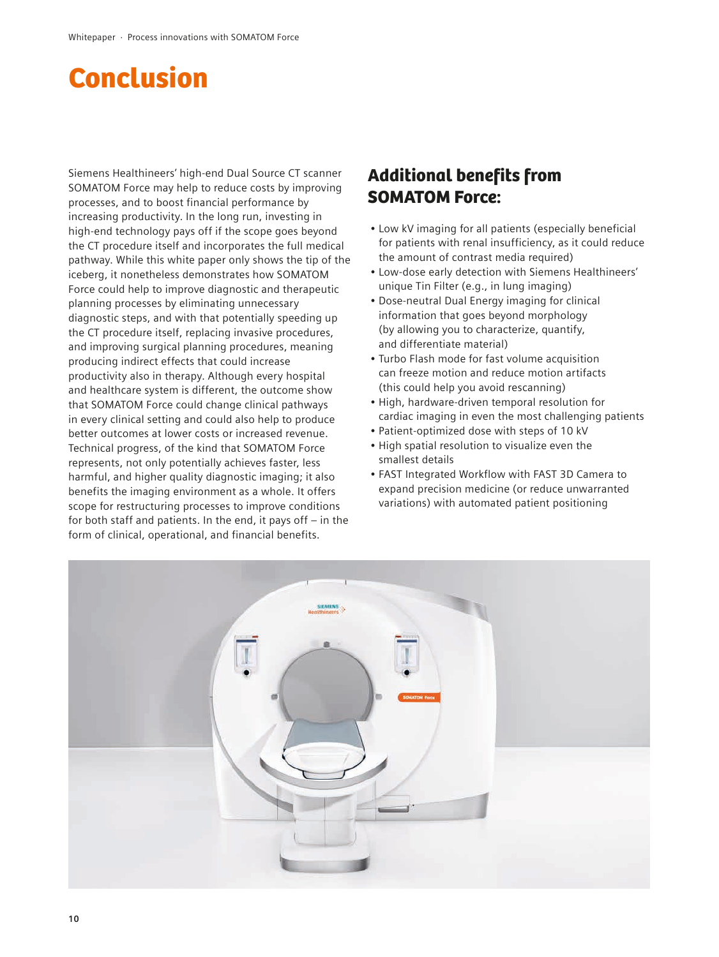## Conclusion

Siemens Healthineers' high-end Dual Source CT scanner SOMATOM Force may help to reduce costs by improving processes, and to boost financial performance by increasing productivity. In the long run, investing in high-end technology pays off if the scope goes beyond the CT procedure itself and incorporates the full medical pathway. While this white paper only shows the tip of the iceberg, it nonetheless demonstrates how SOMATOM Force could help to improve diagnostic and therapeutic planning processes by eliminating unnecessary diagnostic steps, and with that potentially speeding up the CT procedure itself, replacing invasive procedures, and improving surgical planning procedures, meaning producing indirect effects that could increase productivity also in therapy. Although every hospital and healthcare system is different, the outcome show that SOMATOM Force could change clinical pathways in every clinical setting and could also help to produce better outcomes at lower costs or increased revenue. Technical progress, of the kind that SOMATOM Force represents, not only potentially achieves faster, less harmful, and higher quality diagnostic imaging; it also benefits the imaging environment as a whole. It offers scope for restructuring processes to improve conditions for both staff and patients. In the end, it pays off – in the form of clinical, operational, and financial benefits.

### Additional benefits from SOMATOM Force:

- Low kV imaging for all patients (especially beneficial for patients with renal insufficiency, as it could reduce the amount of contrast media required)
- Low-dose early detection with Siemens Healthineers' unique Tin Filter (e.g., in lung imaging)
- Dose-neutral Dual Energy imaging for clinical information that goes beyond morphology (by allowing you to characterize, quantify, and differentiate material)
- Turbo Flash mode for fast volume acquisition can freeze motion and reduce motion artifacts (this could help you avoid rescanning)
- High, hardware-driven temporal resolution for cardiac imaging in even the most challenging patients
- Patient-optimized dose with steps of 10 kV
- High spatial resolution to visualize even the smallest details
- FAST Integrated Workflow with FAST 3D Camera to expand precision medicine (or reduce unwarranted variations) with automated patient positioning

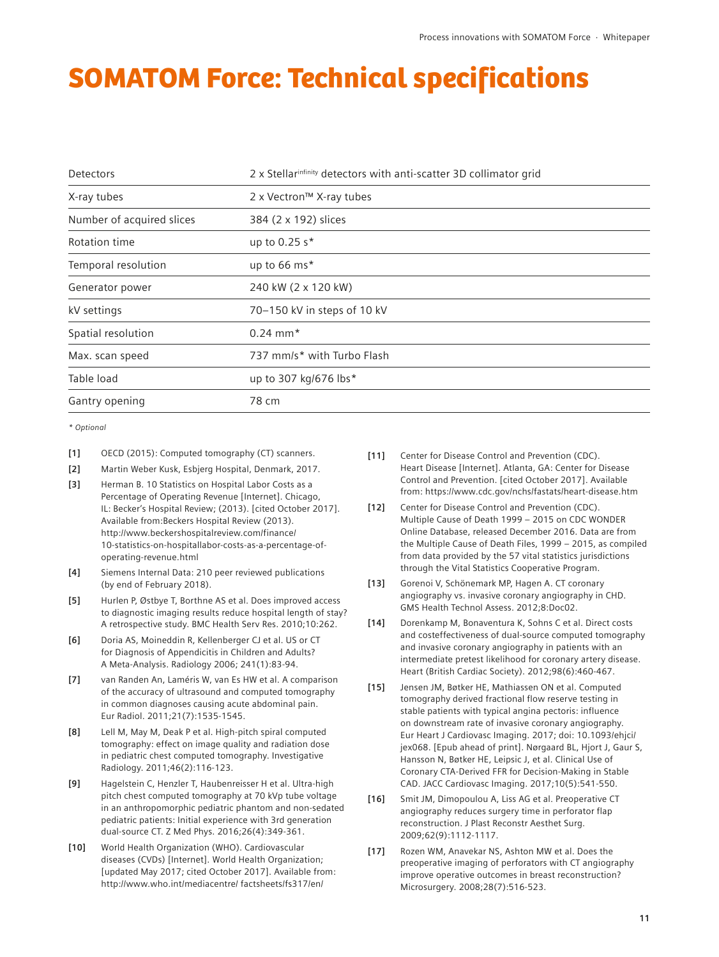## SOMATOM Force: Technical specifications

| Detectors                 | 2 x Stellarinfinity detectors with anti-scatter 3D collimator grid |
|---------------------------|--------------------------------------------------------------------|
| X-ray tubes               | 2 x Vectron™ X-ray tubes                                           |
| Number of acquired slices | 384 (2 x 192) slices                                               |
| Rotation time             | up to 0.25 s*                                                      |
| Temporal resolution       | up to 66 ms*                                                       |
| Generator power           | 240 kW (2 x 120 kW)                                                |
| kV settings               | 70-150 kV in steps of 10 kV                                        |
| Spatial resolution        | $0.24$ mm <sup>*</sup>                                             |
| Max. scan speed           | 737 mm/s* with Turbo Flash                                         |
| Table load                | up to 307 kg/676 lbs*                                              |
| Gantry opening            | 78 cm                                                              |

*\* Optional*

- **[1]** OECD (2015): Computed tomography (CT) scanners.
- **[2]** Martin Weber Kusk, Esbjerg Hospital, Denmark, 2017.
- **[3]** Herman B. 10 Statistics on Hospital Labor Costs as a Percentage of Operating Revenue [Internet]. Chicago, IL: Becker's Hospital Review; (2013). [cited October 2017]. Available from:Beckers Hospital Review (2013). http://www.beckershospitalreview.com/finance/ 10-statistics-on-hospitallabor-costs-as-a-percentage-ofoperating-revenue.html
- **[4]** Siemens Internal Data: 210 peer reviewed publications (by end of February 2018).
- **[5]** Hurlen P, Østbye T, Borthne AS et al. Does improved access to diagnostic imaging results reduce hospital length of stay? A retrospective study. BMC Health Serv Res. 2010;10:262.
- **[6]** Doria AS, Moineddin R, Kellenberger CJ et al. US or CT for Diagnosis of Appendicitis in Children and Adults? A Meta-Analysis. Radiology 2006; 241(1):83-94.
- **[7]** van Randen An, Laméris W, van Es HW et al. A comparison of the accuracy of ultrasound and computed tomography in common diagnoses causing acute abdominal pain. Eur Radiol. 2011;21(7):1535-1545.
- **[8]** Lell M, May M, Deak P et al. High-pitch spiral computed tomography: effect on image quality and radiation dose in pediatric chest computed tomography. Investigative Radiology. 2011;46(2):116-123.
- **[9]** Hagelstein C, Henzler T, Haubenreisser H et al. Ultra-high pitch chest computed tomography at 70 kVp tube voltage in an anthropomorphic pediatric phantom and non-sedated pediatric patients: Initial experience with 3rd generation dual-source CT. Z Med Phys. 2016;26(4):349-361.
- **[10]** World Health Organization (WHO). Cardiovascular diseases (CVDs) [Internet]. World Health Organization; [updated May 2017; cited October 2017]. Available from: http://www.who.int/mediacentre/ factsheets/fs317/en/
- **[11]** Center for Disease Control and Prevention (CDC). Heart Disease [Internet]. Atlanta, GA: Center for Disease Control and Prevention. [cited October 2017]. Available from: https://www.cdc.gov/nchs/fastats/heart-disease.htm
- **[12]** Center for Disease Control and Prevention (CDC). Multiple Cause of Death 1999 – 2015 on CDC WONDER Online Database, released December 2016. Data are from the Multiple Cause of Death Files, 1999 – 2015, as compiled from data provided by the 57 vital statistics jurisdictions through the Vital Statistics Cooperative Program.
- **[13]** Gorenoi V, Schönemark MP, Hagen A. CT coronary angiography vs. invasive coronary angiography in CHD. GMS Health Technol Assess. 2012;8:Doc02.
- **[14]** Dorenkamp M, Bonaventura K, Sohns C et al. Direct costs and costeffectiveness of dual-source computed tomography and invasive coronary angiography in patients with an intermediate pretest likelihood for coronary artery disease. Heart (British Cardiac Society). 2012;98(6):460-467.
- **[15]** Jensen JM, Bøtker HE, Mathiassen ON et al. Computed tomography derived fractional flow reserve testing in stable patients with typical angina pectoris: influence on downstream rate of invasive coronary angiography. Eur Heart J Cardiovasc Imaging. 2017; doi: 10.1093/ehjci/ jex068. [Epub ahead of print]. Nørgaard BL, Hjort J, Gaur S, Hansson N, Bøtker HE, Leipsic J, et al. Clinical Use of Coronary CTA-Derived FFR for Decision-Making in Stable CAD. JACC Cardiovasc Imaging. 2017;10(5):541-550.
- **[16]** Smit JM, Dimopoulou A, Liss AG et al. Preoperative CT angiography reduces surgery time in perforator flap reconstruction. J Plast Reconstr Aesthet Surg. 2009;62(9):1112-1117.
- **[17]** Rozen WM, Anavekar NS, Ashton MW et al. Does the preoperative imaging of perforators with CT angiography improve operative outcomes in breast reconstruction? Microsurgery. 2008;28(7):516-523.